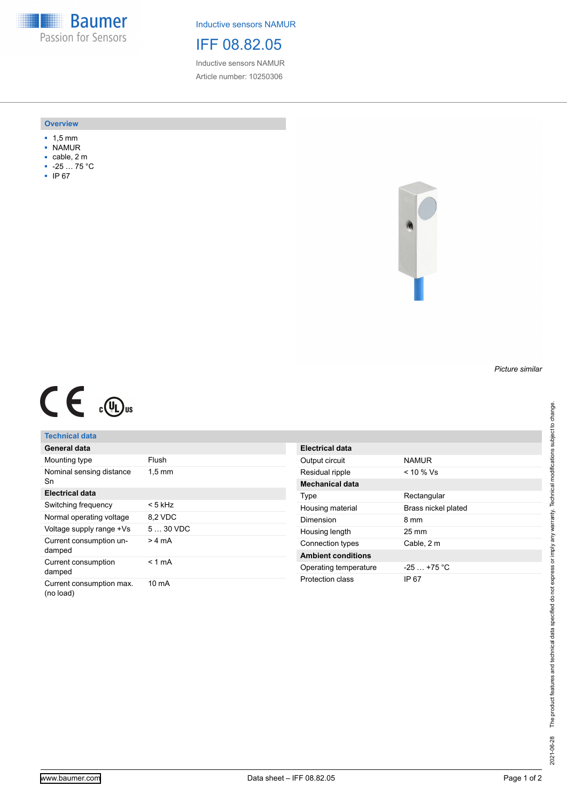**Baumer** Passion for Sensors

Inductive sensors NAMUR

IFF 08.82.05

Inductive sensors NAMUR Article number: 10250306

#### **Overview**

- 1,5 mm
- NAMUR
- cable, 2 m
- -25 … 75 °C
- IP 67



# $C \in \mathbb{C}$

## **Technical data**

| General data                          |                  |
|---------------------------------------|------------------|
| Mounting type                         | Flush            |
| Nominal sensing distance<br>Sn        | $1,5 \text{ mm}$ |
| Electrical data                       |                  |
| Switching frequency                   | < 5 kHz          |
| Normal operating voltage              | 8,2 VDC          |
| Voltage supply range +Vs              | $530$ VDC        |
| Current consumption un-<br>damped     | > 4 mA           |
| Current consumption<br>damped         | < 1 mA           |
| Current consumption max.<br>(no load) | 10 mA            |

| Electrical data           |                     |
|---------------------------|---------------------|
| Output circuit            | <b>NAMUR</b>        |
| Residual ripple           | < 10 % Vs           |
| <b>Mechanical data</b>    |                     |
| Type                      | Rectangular         |
| Housing material          | Brass nickel plated |
| Dimension                 | 8 mm                |
| Housing length            | $25 \text{ mm}$     |
| Connection types          | Cable, 2 m          |
| <b>Ambient conditions</b> |                     |
| Operating temperature     | $-25 + 75$ °C       |
| Protection class          | IP 67               |

*Picture similar*